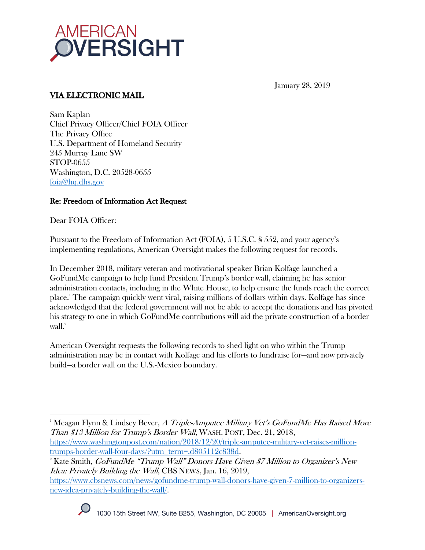

January 28, 2019

# VIA ELECTRONIC MAIL

Sam Kaplan Chief Privacy Officer/Chief FOIA Officer The Privacy Office U.S. Department of Homeland Security 245 Murray Lane SW STOP-0655 Washington, D.C. 20528-0655 foia@hq.dhs.gov

## Re: Freedom of Information Act Request

Dear FOIA Officer:

Pursuant to the Freedom of Information Act (FOIA), 5 U.S.C. § 552, and your agency's implementing regulations, American Oversight makes the following request for records.

In December 2018, military veteran and motivational speaker Brian Kolfage launched a GoFundMe campaign to help fund President Trump's border wall, claiming he has senior administration contacts, including in the White House, to help ensure the funds reach the correct place.1 The campaign quickly went viral, raising millions of dollars within days. Kolfage has since acknowledged that the federal government will not be able to accept the donations and has pivoted his strategy to one in which GoFundMe contributions will aid the private construction of a border wall.<sup>2</sup>

American Oversight requests the following records to shed light on who within the Trump administration may be in contact with Kolfage and his efforts to fundraise for—and now privately build—a border wall on the U.S.-Mexico boundary.

https://www.cbsnews.com/news/gofundme-trump-wall-donors-have-given-7-million-to-organizersnew-idea-privately-building-the-wall/.



 $\overline{a}$ 

 $^1$ Meagan Flynn & Lindsey Bever,  $A$  Triple-Amputee Military Vet's GoFundMe Has Raised More Than \$13 Million for Trump's Border Wall, WASH. POST, Dec. 21, 2018,

https://www.washingtonpost.com/nation/2018/12/20/triple-amputee-military-vet-raises-milliontrumps-border-wall-four-days/?utm\_term=.d805112c838d.

 $^{\circ}$ Kate Smith,  $GoFundMe$  "Trump Wall" Donors Have Given \$7 Million to Organizer's New Idea: Privately Building the Wall, CBS NEWS, Jan. 16, 2019,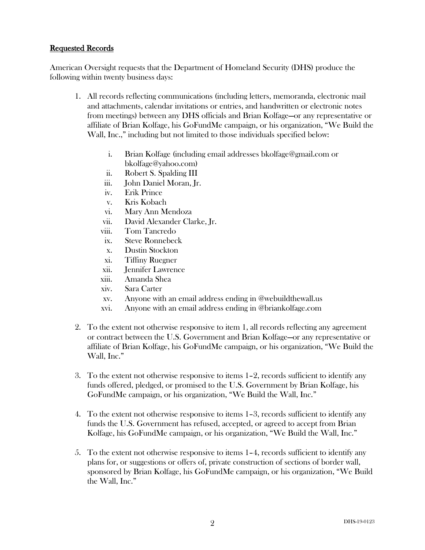#### Requested Records

American Oversight requests that the Department of Homeland Security (DHS) produce the following within twenty business days:

- 1. All records reflecting communications (including letters, memoranda, electronic mail and attachments, calendar invitations or entries, and handwritten or electronic notes from meetings) between any DHS officials and Brian Kolfage—or any representative or affiliate of Brian Kolfage, his GoFundMe campaign, or his organization, "We Build the Wall, Inc.," including but not limited to those individuals specified below:
	- i. Brian Kolfage (including email addresses bkolfage@gmail.com or bkolfage@yahoo.com)
	- ii. Robert S. Spalding III
	- iii. John Daniel Moran, Jr.
	- iv. Erik Prince
	- v. Kris Kobach
	- vi. Mary Ann Mendoza
	- vii. David Alexander Clarke, Jr.
	- viii. Tom Tancredo
	- ix. Steve Ronnebeck
	- x. Dustin Stockton
	- xi. Tiffiny Ruegner
	- xii. Jennifer Lawrence
	- xiii. Amanda Shea
	- xiv. Sara Carter
	- xv. Anyone with an email address ending in @webuildthewall.us
	- xvi. Anyone with an email address ending in @briankolfage.com
- 2. To the extent not otherwise responsive to item 1, all records reflecting any agreement or contract between the U.S. Government and Brian Kolfage—or any representative or affiliate of Brian Kolfage, his GoFundMe campaign, or his organization, "We Build the Wall, Inc."
- 3. To the extent not otherwise responsive to items 1–2, records sufficient to identify any funds offered, pledged, or promised to the U.S. Government by Brian Kolfage, his GoFundMe campaign, or his organization, "We Build the Wall, Inc."
- 4. To the extent not otherwise responsive to items 1–3, records sufficient to identify any funds the U.S. Government has refused, accepted, or agreed to accept from Brian Kolfage, his GoFundMe campaign, or his organization, "We Build the Wall, Inc."
- 5. To the extent not otherwise responsive to items 1–4, records sufficient to identify any plans for, or suggestions or offers of, private construction of sections of border wall, sponsored by Brian Kolfage, his GoFundMe campaign, or his organization, "We Build the Wall, Inc."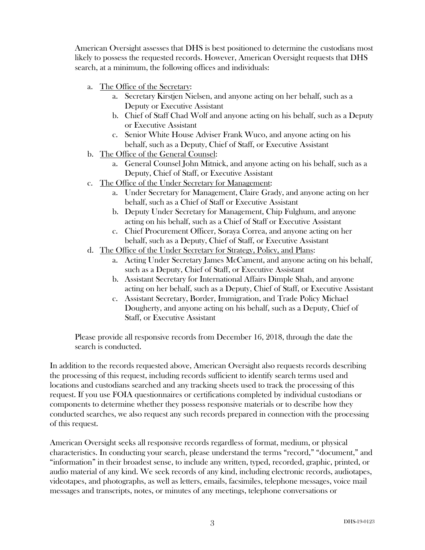American Oversight assesses that DHS is best positioned to determine the custodians most likely to possess the requested records. However, American Oversight requests that DHS search, at a minimum, the following offices and individuals:

- a. The Office of the Secretary:
	- a. Secretary Kirstjen Nielsen, and anyone acting on her behalf, such as a Deputy or Executive Assistant
	- b. Chief of Staff Chad Wolf and anyone acting on his behalf, such as a Deputy or Executive Assistant
	- c. Senior White House Adviser Frank Wuco, and anyone acting on his behalf, such as a Deputy, Chief of Staff, or Executive Assistant
- b. The Office of the General Counsel:
	- a. General Counsel John Mitnick, and anyone acting on his behalf, such as a Deputy, Chief of Staff, or Executive Assistant
- c. The Office of the Under Secretary for Management:
	- a. Under Secretary for Management, Claire Grady, and anyone acting on her behalf, such as a Chief of Staff or Executive Assistant
	- b. Deputy Under Secretary for Management, Chip Fulghum, and anyone acting on his behalf, such as a Chief of Staff or Executive Assistant
	- c. Chief Procurement Officer, Soraya Correa, and anyone acting on her behalf, such as a Deputy, Chief of Staff, or Executive Assistant
- d. The Office of the Under Secretary for Strategy, Policy, and Plans:
	- a. Acting Under Secretary James McCament, and anyone acting on his behalf, such as a Deputy, Chief of Staff, or Executive Assistant
	- b. Assistant Secretary for International Affairs Dimple Shah, and anyone acting on her behalf, such as a Deputy, Chief of Staff, or Executive Assistant
	- c. Assistant Secretary, Border, Immigration, and Trade Policy Michael Dougherty, and anyone acting on his behalf, such as a Deputy, Chief of Staff, or Executive Assistant

Please provide all responsive records from December 16, 2018, through the date the search is conducted.

In addition to the records requested above, American Oversight also requests records describing the processing of this request, including records sufficient to identify search terms used and locations and custodians searched and any tracking sheets used to track the processing of this request. If you use FOIA questionnaires or certifications completed by individual custodians or components to determine whether they possess responsive materials or to describe how they conducted searches, we also request any such records prepared in connection with the processing of this request.

American Oversight seeks all responsive records regardless of format, medium, or physical characteristics. In conducting your search, please understand the terms "record," "document," and "information" in their broadest sense, to include any written, typed, recorded, graphic, printed, or audio material of any kind. We seek records of any kind, including electronic records, audiotapes, videotapes, and photographs, as well as letters, emails, facsimiles, telephone messages, voice mail messages and transcripts, notes, or minutes of any meetings, telephone conversations or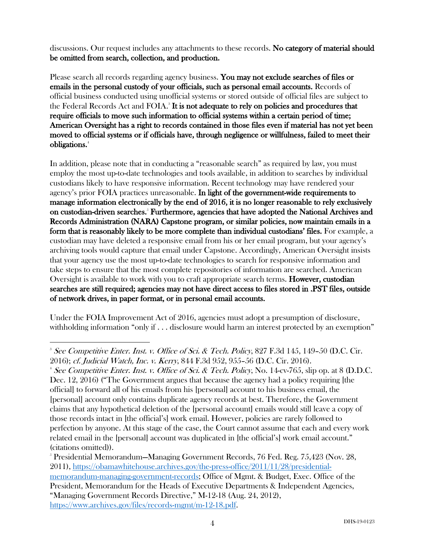discussions. Our request includes any attachments to these records. No category of material should be omitted from search, collection, and production.

Please search all records regarding agency business. You may not exclude searches of files or emails in the personal custody of your officials, such as personal email accounts. Records of official business conducted using unofficial systems or stored outside of official files are subject to the Federal Records Act and FOIA.<sup>3</sup> It is not adequate to rely on policies and procedures that require officials to move such information to official systems within a certain period of time; American Oversight has a right to records contained in those files even if material has not yet been moved to official systems or if officials have, through negligence or willfulness, failed to meet their obligations.4

In addition, please note that in conducting a "reasonable search" as required by law, you must employ the most up-to-date technologies and tools available, in addition to searches by individual custodians likely to have responsive information. Recent technology may have rendered your agency's prior FOIA practices unreasonable. In light of the government-wide requirements to manage information electronically by the end of 2016, it is no longer reasonable to rely exclusively on custodian-driven searches.<sup>5</sup> Furthermore, agencies that have adopted the National Archives and Records Administration (NARA) Capstone program, or similar policies, now maintain emails in a form that is reasonably likely to be more complete than individual custodians' files. For example, a custodian may have deleted a responsive email from his or her email program, but your agency's archiving tools would capture that email under Capstone. Accordingly, American Oversight insists that your agency use the most up-to-date technologies to search for responsive information and take steps to ensure that the most complete repositories of information are searched. American Oversight is available to work with you to craft appropriate search terms. **However, custodian** searches are still required; agencies may not have direct access to files stored in .PST files, outside of network drives, in paper format, or in personal email accounts.

Under the FOIA Improvement Act of 2016, agencies must adopt a presumption of disclosure, withholding information "only if . . . disclosure would harm an interest protected by an exemption"

 $\overline{a}$ 

2016); *cf. Judicial Watch, Inc. v. Kerry*, 844 F.3d 952, 955–56 (D.C. Cir. 2016).<br><sup>4</sup> See Competitive Enter. Inst. v. Office of Sci. & Tech. Policy, No. 14-cv-765, slip op. at 8 (D.D.C. Dec. 12, 2016) ("The Government argues that because the agency had a policy requiring [the official] to forward all of his emails from his [personal] account to his business email, the [personal] account only contains duplicate agency records at best. Therefore, the Government claims that any hypothetical deletion of the [personal account] emails would still leave a copy of those records intact in [the official's] work email. However, policies are rarely followed to perfection by anyone. At this stage of the case, the Court cannot assume that each and every work related email in the [personal] account was duplicated in [the official's] work email account." (citations omitted)).

5 Presidential Memorandum—Managing Government Records, 76 Fed. Reg. 75,423 (Nov. 28, 2011), https://obamawhitehouse.archives.gov/the-press-office/2011/11/28/presidentialmemorandum-managing-government-records; Office of Mgmt. & Budget, Exec. Office of the President, Memorandum for the Heads of Executive Departments & Independent Agencies, "Managing Government Records Directive," M-12-18 (Aug. 24, 2012), https://www.archives.gov/files/records-mgmt/m-12-18.pdf.

<sup>&</sup>lt;sup>3</sup> See Competitive Enter. Inst. v. Office of Sci. & Tech. Policy, 827 F.3d 145, 149–50 (D.C. Cir.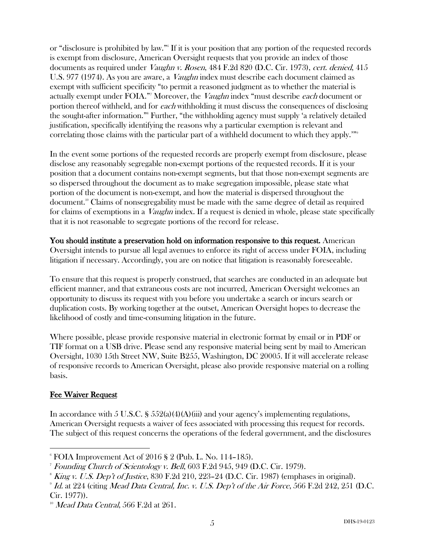or "disclosure is prohibited by law."6 If it is your position that any portion of the requested records is exempt from disclosure, American Oversight requests that you provide an index of those documents as required under *Vaughn v. Rosen*, 484 F.2d 820 (D.C. Cir. 1973), cert. denied, 415 U.S. 977 (1974). As you are aware, a *Vaughn* index must describe each document claimed as exempt with sufficient specificity "to permit a reasoned judgment as to whether the material is actually exempt under FOIA."<sup>7</sup> Moreover, the *Vaughn* index "must describe *each* document or portion thereof withheld, and for each withholding it must discuss the consequences of disclosing the sought-after information."8 Further, "the withholding agency must supply 'a relatively detailed justification, specifically identifying the reasons why a particular exemption is relevant and correlating those claims with the particular part of a withheld document to which they apply.'"<sup>9</sup>

In the event some portions of the requested records are properly exempt from disclosure, please disclose any reasonably segregable non-exempt portions of the requested records. If it is your position that a document contains non-exempt segments, but that those non-exempt segments are so dispersed throughout the document as to make segregation impossible, please state what portion of the document is non-exempt, and how the material is dispersed throughout the document.10 Claims of nonsegregability must be made with the same degree of detail as required for claims of exemptions in a *Vaughn* index. If a request is denied in whole, please state specifically that it is not reasonable to segregate portions of the record for release.

You should institute a preservation hold on information responsive to this request. American Oversight intends to pursue all legal avenues to enforce its right of access under FOIA, including litigation if necessary. Accordingly, you are on notice that litigation is reasonably foreseeable.

To ensure that this request is properly construed, that searches are conducted in an adequate but efficient manner, and that extraneous costs are not incurred, American Oversight welcomes an opportunity to discuss its request with you before you undertake a search or incurs search or duplication costs. By working together at the outset, American Oversight hopes to decrease the likelihood of costly and time-consuming litigation in the future.

Where possible, please provide responsive material in electronic format by email or in PDF or TIF format on a USB drive. Please send any responsive material being sent by mail to American Oversight, 1030 15th Street NW, Suite B255, Washington, DC 20005. If it will accelerate release of responsive records to American Oversight, please also provide responsive material on a rolling basis.

#### Fee Waiver Request

In accordance with 5 U.S.C. §  $552(a)(4)(A)(iii)$  and your agency's implementing regulations, American Oversight requests a waiver of fees associated with processing this request for records. The subject of this request concerns the operations of the federal government, and the disclosures

 $\overline{a}$  $6$  FOIA Improvement Act of 2016 § 2 (Pub. L. No. 114–185).

<sup>&</sup>lt;sup>7</sup> Founding Church of Scientology v. Bell, 603 F.2d 945, 949 (D.C. Cir. 1979).

 $^{\circ}$  *King v. U.S. Dep't of Justice,* 830 F.2d 210, 223–24 (D.C. Cir. 1987) (emphases in original).

 $9$  Id. at 224 (citing Mead Data Central, Inc. v. U.S. Dep't of the Air Force, 566 F.2d 242, 251 (D.C. Cir. 1977)).

 $10^{\circ}$  *Mead Data Central*, 566 F.2d at 261.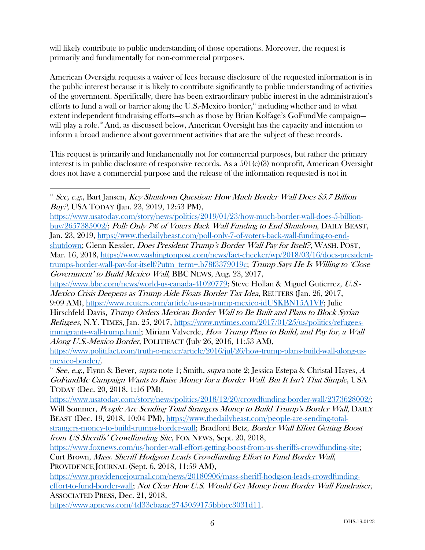will likely contribute to public understanding of those operations. Moreover, the request is primarily and fundamentally for non-commercial purposes.

American Oversight requests a waiver of fees because disclosure of the requested information is in the public interest because it is likely to contribute significantly to public understanding of activities of the government. Specifically, there has been extraordinary public interest in the administration's efforts to fund a wall or barrier along the U.S.-Mexico border, $\mu$  including whether and to what extent independent fundraising efforts—such as those by Brian Kolfage's GoFundMe campaign will play a role. <sup>12</sup> And, as discussed below, American Oversight has the capacity and intention to inform a broad audience about government activities that are the subject of these records.

This request is primarily and fundamentally not for commercial purposes, but rather the primary interest is in public disclosure of responsive records. As a 501(c)(3) nonprofit, American Oversight does not have a commercial purpose and the release of the information requested is not in

9:09 AM), https://www.reuters.com/article/us-usa-trump-mexico-idUSKBN15A1VF; Julie

Hirschfeld Davis, Trump Orders Mexican Border Wall to Be Built and Plans to Block Syrian  $Refuges, N.Y.$  TIMES, Jan. 25, 2017, https://www.nytimes.com/2017/01/25/us/politics/refugeesimmigrants-wall-trump.html; Miriam Valverde, How Trump Plans to Build, and Pay for, a Wall Along U.S.-Mexico Border, POLITIFACT (July 26, 2016, 11:53 AM),

https://www.usatoday.com/story/news/politics/2018/12/20/crowdfunding-border-wall/2373628002/; Will Sommer, People Are Sending Total Strangers Money to Build Trump's Border Wall, DAILY BEAST (Dec. 19, 2018, 10:04 PM), https://www.thedailybeast.com/people-are-sending-total-

 $\overline{a}$  $11$  See, e.g., Bart Jansen, Key Shutdown Question: How Much Border Wall Does \$5.7 Billion Buy?, USA TODAY (Jan. 23, 2019, 12:53 PM),

https://www.usatoday.com/story/news/politics/2019/01/23/how-much-border-wall-does-5-billionbuy/2657385002/; Poll: Only 7% of Voters Back Wall Funding to End Shutdown, DAILY BEAST, Jan. 23, 2019, https://www.thedailybeast.com/poll-only-7-of-voters-back-wall-funding-to-endshutdown; Glenn Kessler, Does President Trump's Border Wall Pay for Itself?, WASH. POST, Mar. 16, 2018, https://www.washingtonpost.com/news/fact-checker/wp/2018/03/16/does-presidenttrumps-border-wall-pay-for-itself/?utm\_term=.b78f3379019c; Trump Says He Is Willing to 'Close Government' to Build Mexico Wall, BBC NEWS, Aug. 23, 2017,

https://www.bbc.com/news/world-us-canada-41020779; Steve Hollan & Miguel Gutierrez, U.S.- Mexico Crisis Deepens as Trump Aide Floats Border Tax Idea, REUTERS (Jan. 26, 2017,

https://www.politifact.com/truth-o-meter/article/2016/jul/26/how-trump-plans-build-wall-along-us-

mexico-border/.<br><sup>12</sup> See, e.g., Flynn & Bever, *supra* note 1; Smith, *supra* note 2; Jessica Estepa & Christal Hayes, A GoFundMe Campaign Wants to Raise Money for a Border Wall. But It Isn't That Simple, USA TODAY (Dec. 20, 2018, 1:16 PM),

strangers-money-to-build-trumps-border-wall; Bradford Betz, Border Wall Effort Getting Boost from US Sheriffs' Crowdfunding Site, FOX NEWS, Sept. 20, 2018,

https://www.foxnews.com/us/border-wall-effort-getting-boost-from-us-sheriffs-crowdfunding-site; Curt Brown, Mass. Sheriff Hodgson Leads Crowdfunding Effort to Fund Border Wall, PROVIDENCE JOURNAL (Sept. 6, 2018, 11:59 AM),

https://www.providencejournal.com/news/20180906/mass-sheriff-hodgson-leads-crowdfundingeffort-to-fund-border-wall; Not Clear How U.S. Would Get Money from Border Wall Fundraiser, ASSOCIATED PRESS, Dec. 21, 2018,

https://www.apnews.com/4d33cbaaac2745059175bbbcc3031d11.